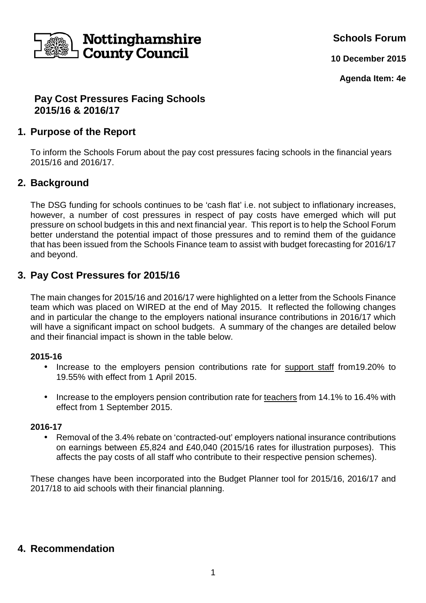

**Schools Forum**

**10 December 2015**

**Agenda Item: 4e**

## **Pay Cost Pressures Facing Schools 2015/16 & 2016/17**

# **1. Purpose of the Report**

To inform the Schools Forum about the pay cost pressures facing schools in the financial years 2015/16 and 2016/17.

# **2. Background**

The DSG funding for schools continues to be 'cash flat' i.e. not subject to inflationary increases, however, a number of cost pressures in respect of pay costs have emerged which will put pressure on school budgets in this and next financial year. This report is to help the School Forum better understand the potential impact of those pressures and to remind them of the guidance that has been issued from the Schools Finance team to assist with budget forecasting for 2016/17 and beyond.

# **3. Pay Cost Pressures for 2015/16**

The main changes for 2015/16 and 2016/17 were highlighted on a letter from the Schools Finance team which was placed on WIRED at the end of May 2015. It reflected the following changes and in particular the change to the employers national insurance contributions in 2016/17 which will have a significant impact on school budgets. A summary of the changes are detailed below and their financial impact is shown in the table below.

#### **2015-16**

- Increase to the employers pension contributions rate for support staff from19.20% to 19.55% with effect from 1 April 2015.
- Increase to the employers pension contribution rate for teachers from 14.1% to 16.4% with effect from 1 September 2015.

#### **2016-17**

• Removal of the 3.4% rebate on 'contracted-out' employers national insurance contributions on earnings between £5,824 and £40,040 (2015/16 rates for illustration purposes). This affects the pay costs of all staff who contribute to their respective pension schemes).

These changes have been incorporated into the Budget Planner tool for 2015/16, 2016/17 and 2017/18 to aid schools with their financial planning.

## **4. Recommendation**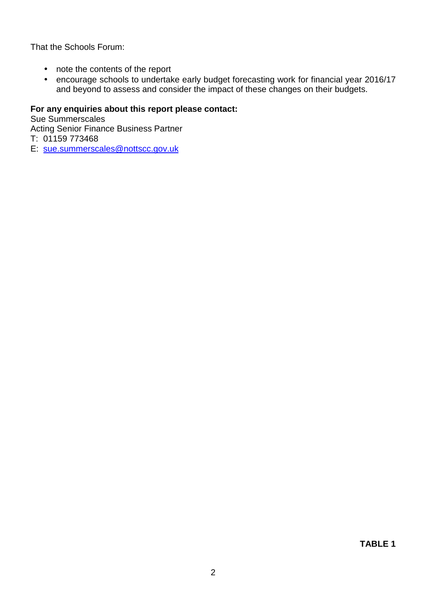That the Schools Forum:

- note the contents of the report
- encourage schools to undertake early budget forecasting work for financial year 2016/17 and beyond to assess and consider the impact of these changes on their budgets.

### **For any enquiries about this report please contact:**

Sue Summerscales Acting Senior Finance Business Partner T: 01159 773468

E: sue.summerscales@nottscc.gov.uk